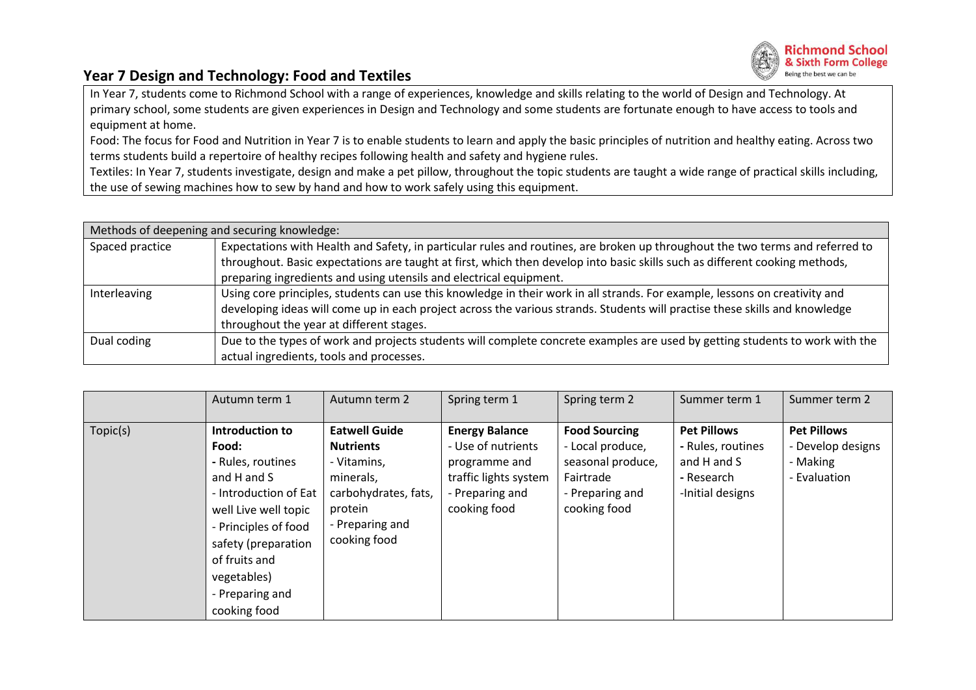

## **Year 7 Design and Technology: Food and Textiles**

In Year 7, students come to Richmond School with a range of experiences, knowledge and skills relating to the world of Design and Technology. At primary school, some students are given experiences in Design and Technology and some students are fortunate enough to have access to tools and equipment at home.

Food: The focus for Food and Nutrition in Year 7 is to enable students to learn and apply the basic principles of nutrition and healthy eating. Across two terms students build a repertoire of healthy recipes following health and safety and hygiene rules.

Textiles: In Year 7, students investigate, design and make a pet pillow, throughout the topic students are taught a wide range of practical skills including, the use of sewing machines how to sew by hand and how to work safely using this equipment.

| Methods of deepening and securing knowledge: |                                                                                                                               |  |  |  |  |  |
|----------------------------------------------|-------------------------------------------------------------------------------------------------------------------------------|--|--|--|--|--|
| Spaced practice                              | Expectations with Health and Safety, in particular rules and routines, are broken up throughout the two terms and referred to |  |  |  |  |  |
|                                              | throughout. Basic expectations are taught at first, which then develop into basic skills such as different cooking methods,   |  |  |  |  |  |
|                                              | preparing ingredients and using utensils and electrical equipment.                                                            |  |  |  |  |  |
| Interleaving                                 | Using core principles, students can use this knowledge in their work in all strands. For example, lessons on creativity and   |  |  |  |  |  |
|                                              | developing ideas will come up in each project across the various strands. Students will practise these skills and knowledge   |  |  |  |  |  |
|                                              | throughout the year at different stages.                                                                                      |  |  |  |  |  |
| Dual coding                                  | Due to the types of work and projects students will complete concrete examples are used by getting students to work with the  |  |  |  |  |  |
|                                              | actual ingredients, tools and processes.                                                                                      |  |  |  |  |  |

|          | Autumn term 1                                                                                                                                                                                                                   | Autumn term 2                                                                                                                              | Spring term 1                                                                                                            | Spring term 2                                                                                                 | Summer term 1                                                                            | Summer term 2                                                       |
|----------|---------------------------------------------------------------------------------------------------------------------------------------------------------------------------------------------------------------------------------|--------------------------------------------------------------------------------------------------------------------------------------------|--------------------------------------------------------------------------------------------------------------------------|---------------------------------------------------------------------------------------------------------------|------------------------------------------------------------------------------------------|---------------------------------------------------------------------|
| Topic(s) | Introduction to<br>Food:<br>- Rules, routines<br>and H and S<br>- Introduction of Eat<br>well Live well topic<br>- Principles of food<br>safety (preparation<br>of fruits and<br>vegetables)<br>- Preparing and<br>cooking food | <b>Eatwell Guide</b><br><b>Nutrients</b><br>- Vitamins,<br>minerals,<br>carbohydrates, fats,<br>protein<br>- Preparing and<br>cooking food | <b>Energy Balance</b><br>- Use of nutrients<br>programme and<br>traffic lights system<br>- Preparing and<br>cooking food | <b>Food Sourcing</b><br>- Local produce,<br>seasonal produce,<br>Fairtrade<br>- Preparing and<br>cooking food | <b>Pet Pillows</b><br>- Rules, routines<br>and H and S<br>- Research<br>-Initial designs | <b>Pet Pillows</b><br>- Develop designs<br>- Making<br>- Evaluation |